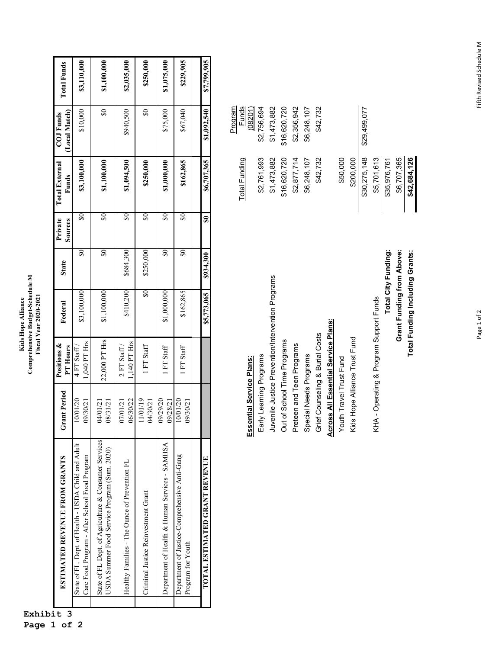| Comprehensive Budget-Schedule M<br>Fiscal Year 2020-2021<br>Kids Hope Alliance |
|--------------------------------------------------------------------------------|
|--------------------------------------------------------------------------------|

|                   | ESTIMATED REVENUE FROM GRANTS                                                                        | <b>Grant Period</b>  | Positions &<br>PT Hours        | Federal                     | <b>State</b>                          | Private<br>Sources | <b>Total External</b><br>Funds | (Local Match)<br>COJ Funds            | <b>Total Funds</b> |
|-------------------|------------------------------------------------------------------------------------------------------|----------------------|--------------------------------|-----------------------------|---------------------------------------|--------------------|--------------------------------|---------------------------------------|--------------------|
|                   | State of FL. Dept. of Health - USDA Child and Adult<br>Care Food Program - After School Food Program | 10/01/20<br>09/30/21 | 1,040 PT Hrs<br>$4$ FT Staff / | \$3,100,000                 | \$0                                   | S                  | \$3,100,000                    | \$10,000                              | \$3,110,000        |
|                   | State of FL Dept. of Agriculture & Consumer Services<br>USDA Summer Food Service Program (Sum. 2020) | 08/31/21<br>04/01/21 | 22,000 PT Hrs                  | \$1,100,000                 | $\overline{\boldsymbol{\mathcal{S}}}$ | $\$0$              | \$1,100,000                    | $\overline{\boldsymbol{\mathcal{S}}}$ | \$1,100,000        |
|                   | Healthy Families - The Ounce of Prevention FL                                                        | 06/30/22<br>07/01/21 | 1,140 PT Hrs<br>$2$ FT Staff / | \$410,200                   | \$684,300                             | 50                 | \$1,094,500                    | \$940,500                             | \$2,035,000        |
|                   | Criminal Justice Reinvestment Grant                                                                  | 11/01/19<br>14/30/21 | 1 FT Staff                     | $\boldsymbol{\mathsf{s}}$ 0 | \$250,000                             | S                  | \$250,000                      | $\boldsymbol{\mathcal{S}}$            | \$250,000          |
|                   | Department of Health & Human Services - SAMHSA                                                       | 02/29/20<br>09/28/21 | FT Staff                       | \$1,000,000                 | \$0                                   | S                  | \$1,000,000                    | \$75,000                              | \$1,075,000        |
| Program for Youth | Department of Justice-Comprehensive Anti-Gang                                                        | 10/01/20<br>9/30/21  | FT Staff                       | \$162,865                   | \$0                                   | S                  | \$162,865                      | \$67,040                              | \$229,905          |
|                   |                                                                                                      |                      |                                |                             |                                       |                    |                                |                                       |                    |
|                   | TOTAL ESTIMATED GRANT REVENUE                                                                        |                      |                                | \$5,773,065                 | \$934,300                             | 50                 | \$6,707,365                    | \$1,092,540                           | \$7,799,905        |

|                                                   | <b>Total Funding</b> | Funds<br>Program |
|---------------------------------------------------|----------------------|------------------|
| Essential Service Plans:                          |                      | (08201)          |
| Early Learning Programs                           | \$2,761,993          | \$2,756,694      |
| Juvenile Justice Prevention/Intervention Programs | \$1,473,882          | \$1,473,882      |
| Out of School Time Programs                       | \$16,620,720         | \$16,620,720     |
| Preteen and Teen Programs                         | \$2,877,714          | \$2,356,942      |
| Special Needs Programs                            | \$6,248,107          | \$6,248,107      |
| Grief Counseling & Burial Costs                   | \$42,732             | \$42,732         |
| <b>Across All Essential Service Plans:</b>        |                      |                  |
| Youth Travel Trust Fund                           | \$50,000             |                  |
| Kids Hope Alliance Trust Fund                     | \$200,000            |                  |
|                                                   | \$30,275,148         | \$29,499,077     |
| KHA - Operating & Program Support Funds           | \$5,701,613          |                  |
| <b>Total City Funding:</b>                        | \$35,976,761         |                  |
| Grant Funding from Above:                         | \$6,707,365          |                  |
| Total Funding Including Grants:                   | \$42,684,126         |                  |

**Exhibit 3** 

**Page 1 of 2**